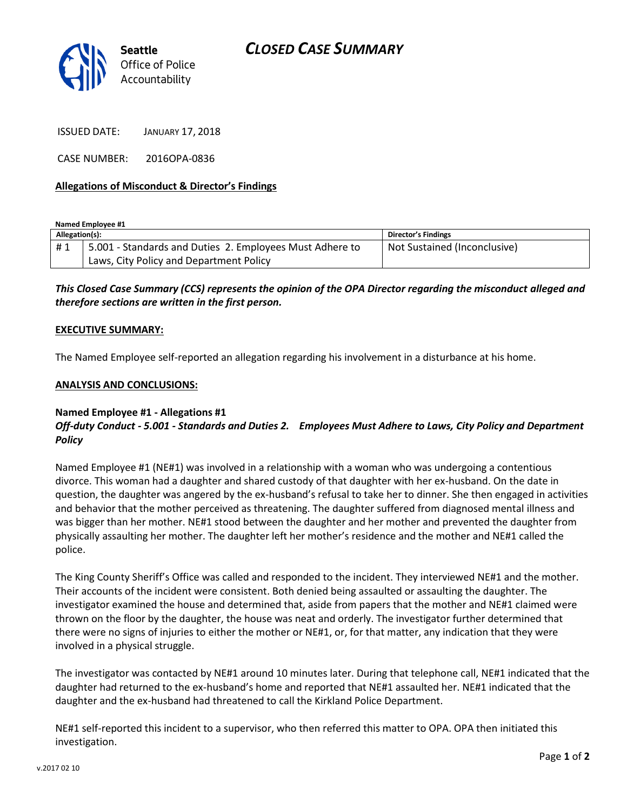

ISSUED DATE: JANUARY 17, 2018

CASE NUMBER: 2016OPA-0836

## **Allegations of Misconduct & Director's Findings**

**Named Employee #1**

| Allegation(s): |                                                          | Director's Findings          |
|----------------|----------------------------------------------------------|------------------------------|
| #1             | 5.001 - Standards and Duties 2. Employees Must Adhere to | Not Sustained (Inconclusive) |
|                | Laws, City Policy and Department Policy                  |                              |

*This Closed Case Summary (CCS) represents the opinion of the OPA Director regarding the misconduct alleged and therefore sections are written in the first person.* 

#### **EXECUTIVE SUMMARY:**

The Named Employee self-reported an allegation regarding his involvement in a disturbance at his home.

#### **ANALYSIS AND CONCLUSIONS:**

## **Named Employee #1 - Allegations #1** *Off-duty Conduct - 5.001 - Standards and Duties 2. Employees Must Adhere to Laws, City Policy and Department Policy*

Named Employee #1 (NE#1) was involved in a relationship with a woman who was undergoing a contentious divorce. This woman had a daughter and shared custody of that daughter with her ex-husband. On the date in question, the daughter was angered by the ex-husband's refusal to take her to dinner. She then engaged in activities and behavior that the mother perceived as threatening. The daughter suffered from diagnosed mental illness and was bigger than her mother. NE#1 stood between the daughter and her mother and prevented the daughter from physically assaulting her mother. The daughter left her mother's residence and the mother and NE#1 called the police.

The King County Sheriff's Office was called and responded to the incident. They interviewed NE#1 and the mother. Their accounts of the incident were consistent. Both denied being assaulted or assaulting the daughter. The investigator examined the house and determined that, aside from papers that the mother and NE#1 claimed were thrown on the floor by the daughter, the house was neat and orderly. The investigator further determined that there were no signs of injuries to either the mother or NE#1, or, for that matter, any indication that they were involved in a physical struggle.

The investigator was contacted by NE#1 around 10 minutes later. During that telephone call, NE#1 indicated that the daughter had returned to the ex-husband's home and reported that NE#1 assaulted her. NE#1 indicated that the daughter and the ex-husband had threatened to call the Kirkland Police Department.

NE#1 self-reported this incident to a supervisor, who then referred this matter to OPA. OPA then initiated this investigation.